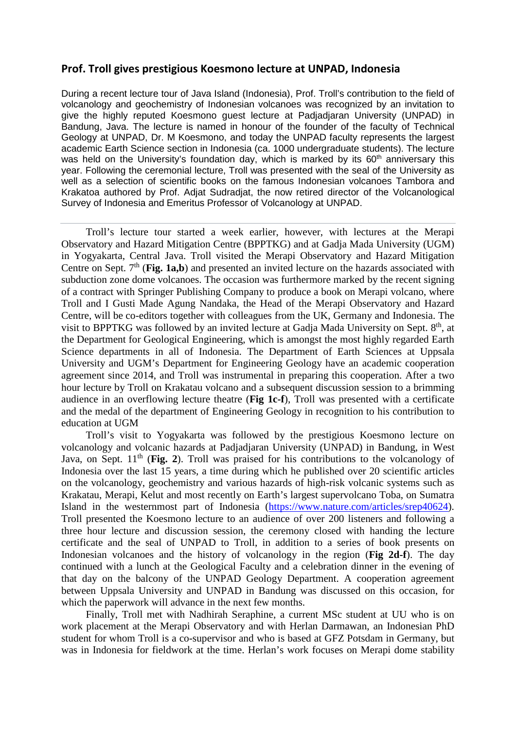## **Prof. Troll gives prestigious Koesmono lecture at UNPAD, Indonesia**

During a recent lecture tour of Java Island (Indonesia), Prof. Troll's contribution to the field of volcanology and geochemistry of Indonesian volcanoes was recognized by an invitation to give the highly reputed Koesmono guest lecture at Padjadjaran University (UNPAD) in Bandung, Java. The lecture is named in honour of the founder of the faculty of Technical Geology at UNPAD, Dr. M Koesmono, and today the UNPAD faculty represents the largest academic Earth Science section in Indonesia (ca. 1000 undergraduate students). The lecture was held on the University's foundation day, which is marked by its  $60<sup>th</sup>$  anniversary this year. Following the ceremonial lecture, Troll was presented with the seal of the University as well as a selection of scientific books on the famous Indonesian volcanoes Tambora and Krakatoa authored by Prof. Adjat Sudradjat, the now retired director of the Volcanological Survey of Indonesia and Emeritus Professor of Volcanology at UNPAD.

Troll's lecture tour started a week earlier, however, with lectures at the Merapi Observatory and Hazard Mitigation Centre (BPPTKG) and at Gadja Mada University (UGM) in Yogyakarta, Central Java. Troll visited the Merapi Observatory and Hazard Mitigation Centre on Sept.  $7<sup>th</sup>$  (**Fig. 1a,b**) and presented an invited lecture on the hazards associated with subduction zone dome volcanoes. The occasion was furthermore marked by the recent signing of a contract with Springer Publishing Company to produce a book on Merapi volcano, where Troll and I Gusti Made Agung Nandaka, the Head of the Merapi Observatory and Hazard Centre, will be co-editors together with colleagues from the UK, Germany and Indonesia. The visit to BPPTKG was followed by an invited lecture at Gadia Mada University on Sept.  $8<sup>th</sup>$ , at the Department for Geological Engineering, which is amongst the most highly regarded Earth Science departments in all of Indonesia. The Department of Earth Sciences at Uppsala University and UGM's Department for Engineering Geology have an academic cooperation agreement since 2014, and Troll was instrumental in preparing this cooperation. After a two hour lecture by Troll on Krakatau volcano and a subsequent discussion session to a brimming audience in an overflowing lecture theatre (**Fig 1c-f**), Troll was presented with a certificate and the medal of the department of Engineering Geology in recognition to his contribution to education at UGM

Troll's visit to Yogyakarta was followed by the prestigious Koesmono lecture on volcanology and volcanic hazards at Padjadjaran University (UNPAD) in Bandung, in West Java, on Sept. 11<sup>th</sup> (**Fig. 2**). Troll was praised for his contributions to the volcanology of Indonesia over the last 15 years, a time during which he published over 20 scientific articles on the volcanology, geochemistry and various hazards of high-risk volcanic systems such as Krakatau, Merapi, Kelut and most recently on Earth's largest supervolcano Toba, on Sumatra Island in the westernmost part of Indonesia [\(https://www.nature.com/articles/srep40624\)](https://www.nature.com/articles/srep40624?WT.feed_name=subjects_petrology). Troll presented the Koesmono lecture to an audience of over 200 listeners and following a three hour lecture and discussion session, the ceremony closed with handing the lecture certificate and the seal of UNPAD to Troll, in addition to a series of book presents on Indonesian volcanoes and the history of volcanology in the region (**Fig 2d-f**). The day continued with a lunch at the Geological Faculty and a celebration dinner in the evening of that day on the balcony of the UNPAD Geology Department. A cooperation agreement between Uppsala University and UNPAD in Bandung was discussed on this occasion, for which the paperwork will advance in the next few months.

Finally, Troll met with Nadhirah Seraphine, a current MSc student at UU who is on work placement at the Merapi Observatory and with Herlan Darmawan, an Indonesian PhD student for whom Troll is a co-supervisor and who is based at GFZ Potsdam in Germany, but was in Indonesia for fieldwork at the time. Herlan's work focuses on Merapi dome stability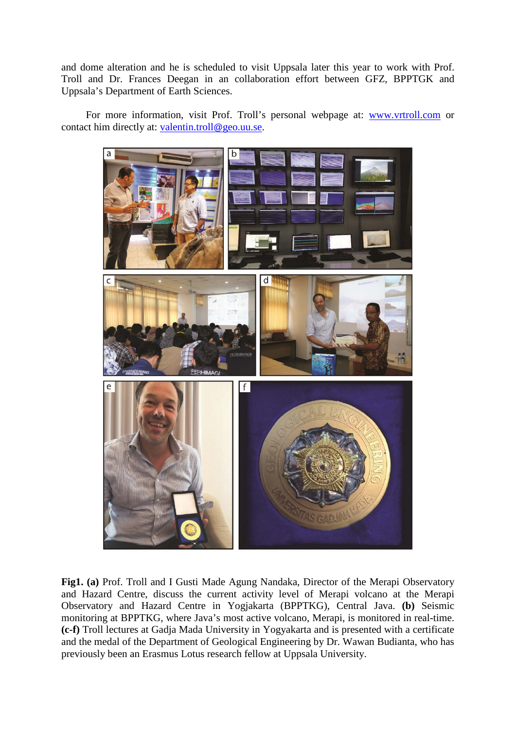and dome alteration and he is scheduled to visit Uppsala later this year to work with Prof. Troll and Dr. Frances Deegan in an collaboration effort between GFZ, BPPTGK and Uppsala's Department of Earth Sciences.

For more information, visit Prof. Troll's personal webpage at: www.vrtroll.com or contact him directly at: [valentin.troll](mailto:valentin.troll@geo.uu.se)@geo.uu.se.



**Fig1. (a)** Prof. Troll and I Gusti Made Agung Nandaka, Director of the Merapi Observatory and Hazard Centre, discuss the current activity level of Merapi volcano at the Merapi Observatory and Hazard Centre in Yogjakarta (BPPTKG), Central Java. **(b)** Seismic monitoring at BPPTKG, where Java's most active volcano, Merapi, is monitored in real-time. **(c-f)** Troll lectures at Gadja Mada University in Yogyakarta and is presented with a certificate and the medal of the Department of Geological Engineering by Dr. Wawan Budianta, who has previously been an Erasmus Lotus research fellow at Uppsala University.